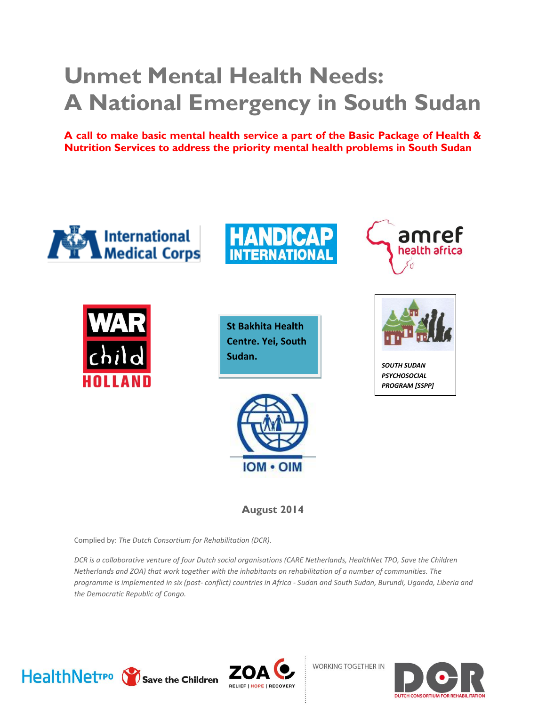# **Unmet Mental Health Needs: A National Emergency in South Sudan**

**A call to make basic mental health service a part of the Basic Package of Health & Nutrition Services to address the priority mental health problems in South Sudan**







**St Bakhita Health Centre. Yei, South Sudan.**



**August 2014**

Complied by: *The Dutch Consortium for Rehabilitation (DCR).* 

*DCR is a collaborative venture of four Dutch social organisations (CARE Netherlands, HealthNet TPO, Save the Children Netherlands and ZOA) that work together with the inhabitants on rehabilitation of a number of communities. The programme is implemented in six (post- conflict) countries in Africa - Sudan and South Sudan, Burundi, Uganda, Liberia and the Democratic Republic of Congo.*



**WORKING TOGETHER IN** 



*SOUTH SUDAN PSYCHOSOCIAL PROGRAM [SSPP]*

amref

health africa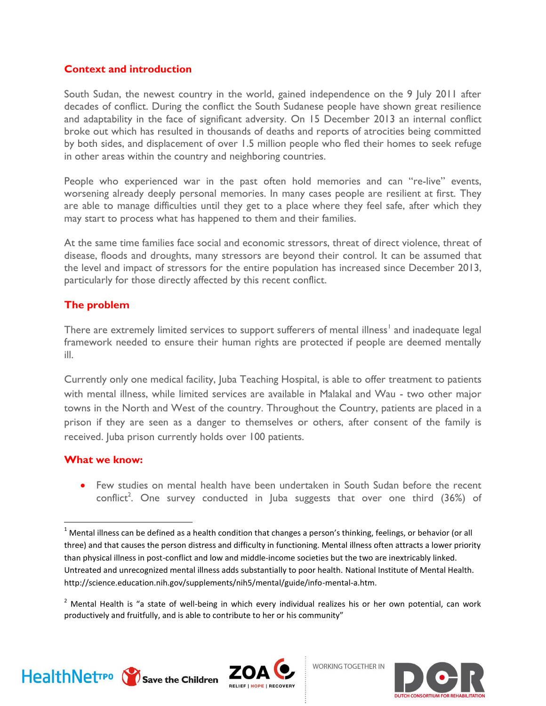#### **Context and introduction**

South Sudan, the newest country in the world, gained independence on the 9 July 2011 after decades of conflict. During the conflict the South Sudanese people have shown great resilience and adaptability in the face of significant adversity. On 15 December 2013 an internal conflict broke out which has resulted in thousands of deaths and reports of atrocities being committed by both sides, and displacement of over 1.5 million people who fled their homes to seek refuge in other areas within the country and neighboring countries.

People who experienced war in the past often hold memories and can "re-live" events, worsening already deeply personal memories. In many cases people are resilient at first. They are able to manage difficulties until they get to a place where they feel safe, after which they may start to process what has happened to them and their families.

At the same time families face social and economic stressors, threat of direct violence, threat of disease, floods and droughts, many stressors are beyond their control. It can be assumed that the level and impact of stressors for the entire population has increased since December 2013, particularly for those directly affected by this recent conflict.

#### **The problem**

There are extremely limited services to support sufferers of mental illness<sup>1</sup> and inadequate legal framework needed to ensure their human rights are protected if people are deemed mentally ill.

Currently only one medical facility, Juba Teaching Hospital, is able to offer treatment to patients with mental illness, while limited services are available in Malakal and Wau - two other major towns in the North and West of the country. Throughout the Country, patients are placed in a prison if they are seen as a danger to themselves or others, after consent of the family is received. Juba prison currently holds over 100 patients.

#### **What we know:**

 Few studies on mental health have been undertaken in South Sudan before the recent conflict<sup>2</sup>. One survey conducted in Juba suggests that over one third  $(36%)$  of



 $\overline{a}$ 







 $1$  Mental illness can be defined as a health condition that changes a person's thinking, feelings, or behavior (or all three) and that causes the person distress and difficulty in functioning. Mental illness often attracts a lower priority than physical illness in post-conflict and low and middle-income societies but the two are inextricably linked. Untreated and unrecognized mental illness adds substantially to poor health. National Institute of Mental Health. http://science.education.nih.gov/supplements/nih5/mental/guide/info-mental-a.htm.

 $2$  Mental Health is "a state of well-being in which every individual realizes his or her own potential, can work productively and fruitfully, and is able to contribute to her or his community"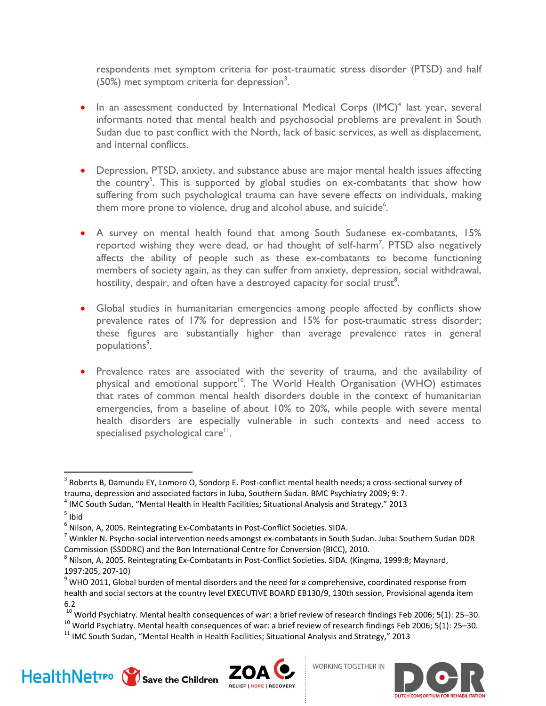respondents met symptom criteria for post-traumatic stress disorder (PTSD) and half (50%) met symptom criteria for depression<sup>3</sup>.

- $\bullet$  In an assessment conducted by International Medical Corps (IMC)<sup>4</sup> last year, several informants noted that mental health and psychosocial problems are prevalent in South Sudan due to past conflict with the North, lack of basic services, as well as displacement, and internal conflicts.
- Depression, PTSD, anxiety, and substance abuse are major mental health issues affecting the country<sup>5</sup>. This is supported by global studies on ex-combatants that show how suffering from such psychological trauma can have severe effects on individuals, making them more prone to violence, drug and alcohol abuse, and suicide $6$ .
- A survey on mental health found that among South Sudanese ex-combatants, 15% reported wishing they were dead, or had thought of self-harm<sup>7</sup>. PTSD also negatively affects the ability of people such as these ex-combatants to become functioning members of society again, as they can suffer from anxiety, depression, social withdrawal, hostility, despair, and often have a destroyed capacity for social trust $^8$ .
- Global studies in humanitarian emergencies among people affected by conflicts show prevalence rates of 17% for depression and 15% for post-traumatic stress disorder; these figures are substantially higher than average prevalence rates in general populations<sup>9</sup>.
- Prevalence rates are associated with the severity of trauma, and the availability of physical and emotional support<sup>10</sup>. The World Health Organisation (WHO) estimates that rates of common mental health disorders double in the context of humanitarian emergencies, from a baseline of about 10% to 20%, while people with severe mental health disorders are especially vulnerable in such contexts and need access to specialised psychological care<sup>11</sup>.

 $\overline{a}$ 

 $11$  IMC South Sudan, "Mental Health in Health Facilities; Situational Analysis and Strategy," 2013







 $^3$  Roberts B, Damundu EY, Lomoro O, Sondorp E. Post-conflict mental health needs; a cross-sectional survey of trauma, depression and associated factors in Juba, Southern Sudan. BMC Psychiatry 2009; 9: 7.

<sup>&</sup>lt;sup>4</sup> IMC South Sudan, "Mental Health in Health Facilities; Situational Analysis and Strategy," 2013

<sup>&</sup>lt;sup>5</sup> Ibid

<sup>6</sup> Nilson, A, 2005. Reintegrating Ex-Combatants in Post-Conflict Societies. SIDA.

 $^7$  Winkler N. Psycho-social intervention needs amongst ex-combatants in South Sudan. Juba: Southern Sudan DDR Commission (SSDDRC) and the Bon International Centre for Conversion (BICC), 2010.

<sup>&</sup>lt;sup>8</sup> Nilson, A, 2005. Reintegrating Ex-Combatants in Post-Conflict Societies. SIDA. (Kingma, 1999:8; Maynard, 1997:205, 207-10)

 $9$  WHO 2011, Global burden of mental disorders and the need for a comprehensive, coordinated response from health and social sectors at the country level EXECUTIVE BOARD EB130/9, 130th session, Provisional agenda item 6.2

 $10$  World Psychiatry. Mental health consequences of war: a brief review of research findings Feb 2006; 5(1): 25–30.

 $^{10}$  World Psychiatry. Mental health consequences of war: a brief review of research findings Feb 2006; 5(1): 25–30.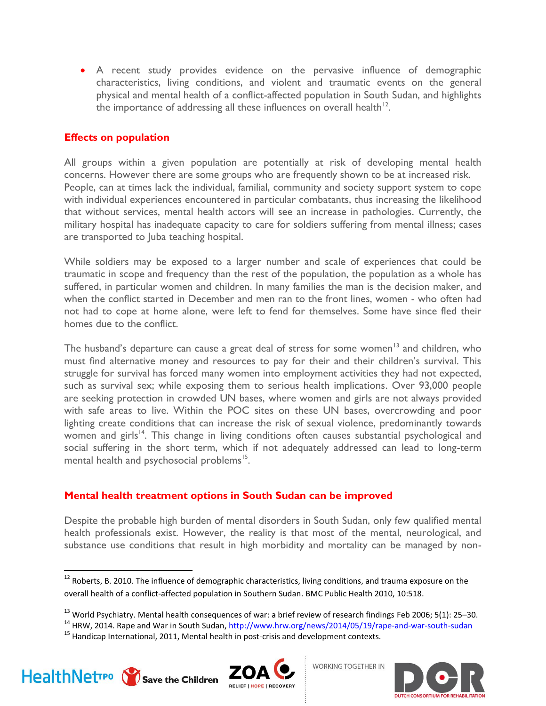A recent study provides evidence on the pervasive influence of demographic characteristics, living conditions, and violent and traumatic events on the general physical and mental health of a conflict-affected population in South Sudan, and highlights the importance of addressing all these influences on overall health $^{12}$ .

#### **Effects on population**

All groups within a given population are potentially at risk of developing mental health concerns. However there are some groups who are frequently shown to be at increased risk. People, can at times lack the individual, familial, community and society support system to cope with individual experiences encountered in particular combatants, thus increasing the likelihood that without services, mental health actors will see an increase in pathologies. Currently, the military hospital has inadequate capacity to care for soldiers suffering from mental illness; cases are transported to Juba teaching hospital.

While soldiers may be exposed to a larger number and scale of experiences that could be traumatic in scope and frequency than the rest of the population, the population as a whole has suffered, in particular women and children. In many families the man is the decision maker, and when the conflict started in December and men ran to the front lines, women - who often had not had to cope at home alone, were left to fend for themselves. Some have since fled their homes due to the conflict.

The husband's departure can cause a great deal of stress for some women<sup>13</sup> and children, who must find alternative money and resources to pay for their and their children's survival. This struggle for survival has forced many women into employment activities they had not expected, such as survival sex; while exposing them to serious health implications. Over 93,000 people are seeking protection in crowded UN bases, where women and girls are not always provided with safe areas to live. Within the POC sites on these UN bases, overcrowding and poor lighting create conditions that can increase the risk of sexual violence, predominantly towards women and girls<sup>14</sup>. This change in living conditions often causes substantial psychological and social suffering in the short term, which if not adequately addressed can lead to long-term mental health and psychosocial problems<sup>15</sup>.

#### **Mental health treatment options in South Sudan can be improved**

Despite the probable high burden of mental disorders in South Sudan, only few qualified mental health professionals exist. However, the reality is that most of the mental, neurological, and substance use conditions that result in high morbidity and mortality can be managed by non-

 $15$  Handicap International, 2011, Mental health in post-crisis and development contexts.



l





 $12$  Roberts, B. 2010. The influence of demographic characteristics, living conditions, and trauma exposure on the overall health of a conflict-affected population in Southern Sudan. BMC Public Health 2010, 10:518.

<sup>&</sup>lt;sup>13</sup> World Psychiatry. Mental health consequences of war: a brief review of research findings Feb 2006; 5(1): 25–30.

<sup>&</sup>lt;sup>14</sup> HRW, 2014. Rape and War in South Sudan[, http://www.hrw.org/news/2014/05/19/rape-and-war-south-sudan](http://www.hrw.org/news/2014/05/19/rape-and-war-south-sudan)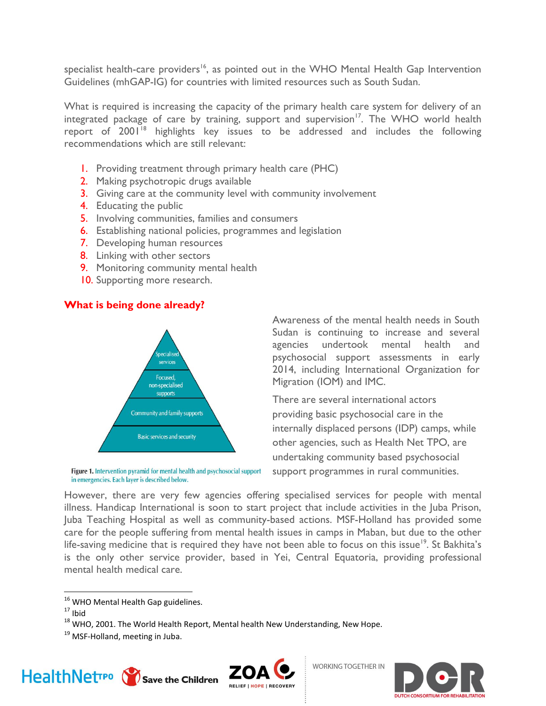specialist health-care providers<sup>16</sup>, as pointed out in the WHO Mental Health Gap Intervention Guidelines (mhGAP-IG) for countries with limited resources such as South Sudan.

What is required is increasing the capacity of the primary health care system for delivery of an integrated package of care by training, support and supervision<sup>17</sup>. The WHO world health report of 2001<sup>18</sup> highlights key issues to be addressed and includes the following recommendations which are still relevant:

- 1. Providing treatment through primary health care (PHC)
- 2. Making psychotropic drugs available
- 3. Giving care at the community level with community involvement
- 4. Educating the public
- 5. Involving communities, families and consumers
- 6. Establishing national policies, programmes and legislation
- 7. Developing human resources
- 8. Linking with other sectors
- 9. Monitoring community mental health
- 10. Supporting more research.

## **What is being done already?**



Figure 1. Intervention pyramid for mental health and psychosocial support in emergencies. Each layer is described below.

Awareness of the mental health needs in South Sudan is continuing to increase and several agencies undertook mental health and psychosocial support assessments in early 2014, including International Organization for Migration (IOM) and IMC.

There are several international actors providing basic psychosocial care in the internally displaced persons (IDP) camps, while other agencies, such as Health Net TPO, are undertaking community based psychosocial support programmes in rural communities.

However, there are very few agencies offering specialised services for people with mental illness. Handicap International is soon to start project that include activities in the Juba Prison, Juba Teaching Hospital as well as community-based actions. MSF-Holland has provided some care for the people suffering from mental health issues in camps in Maban, but due to the other life-saving medicine that is required they have not been able to focus on this issue<sup>19</sup>. St Bakhita's is the only other service provider, based in Yei, Central Equatoria, providing professional mental health medical care.

l

<sup>&</sup>lt;sup>19</sup> MSF-Holland, meeting in Juba.







 $16$  WHO Mental Health Gap guidelines.

 $17$  Ibid

 $^{18}$  WHO, 2001. The World Health Report, Mental health New Understanding, New Hope.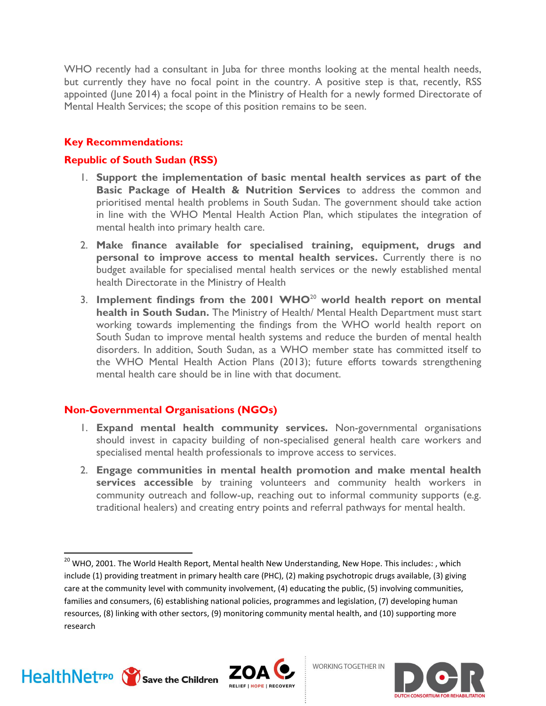WHO recently had a consultant in Juba for three months looking at the mental health needs, but currently they have no focal point in the country. A positive step is that, recently, RSS appointed (June 2014) a focal point in the Ministry of Health for a newly formed Directorate of Mental Health Services; the scope of this position remains to be seen.

## **Key Recommendations:**

## **Republic of South Sudan (RSS)**

- 1. **Support the implementation of basic mental health services as part of the Basic Package of Health & Nutrition Services** to address the common and prioritised mental health problems in South Sudan. The government should take action in line with the WHO Mental Health Action Plan, which stipulates the integration of mental health into primary health care.
- 2. **Make finance available for specialised training, equipment, drugs and personal to improve access to mental health services.** Currently there is no budget available for specialised mental health services or the newly established mental health Directorate in the Ministry of Health
- 3. **Implement findings from the 2001 WHO**<sup>20</sup> **world health report on mental health in South Sudan.** The Ministry of Health/ Mental Health Department must start working towards implementing the findings from the WHO world health report on South Sudan to improve mental health systems and reduce the burden of mental health disorders. In addition, South Sudan, as a WHO member state has committed itself to the WHO Mental Health Action Plans (2013); future efforts towards strengthening mental health care should be in line with that document.

#### **Non-Governmental Organisations (NGOs)**

- 1. **Expand mental health community services.** Non-governmental organisations should invest in capacity building of non-specialised general health care workers and specialised mental health professionals to improve access to services.
- 2. **Engage communities in mental health promotion and make mental health services accessible** by training volunteers and community health workers in community outreach and follow-up, reaching out to informal community supports (e.g. traditional healers) and creating entry points and referral pathways for mental health.

 $\overline{a}$ 





<sup>&</sup>lt;sup>20</sup> WHO, 2001. The World Health Report, Mental health New Understanding, New Hope. This includes: , which include (1) providing treatment in primary health care (PHC), (2) making psychotropic drugs available, (3) giving care at the community level with community involvement, (4) educating the public, (5) involving communities, families and consumers, (6) establishing national policies, programmes and legislation, (7) developing human resources, (8) linking with other sectors, (9) monitoring community mental health, and (10) supporting more research